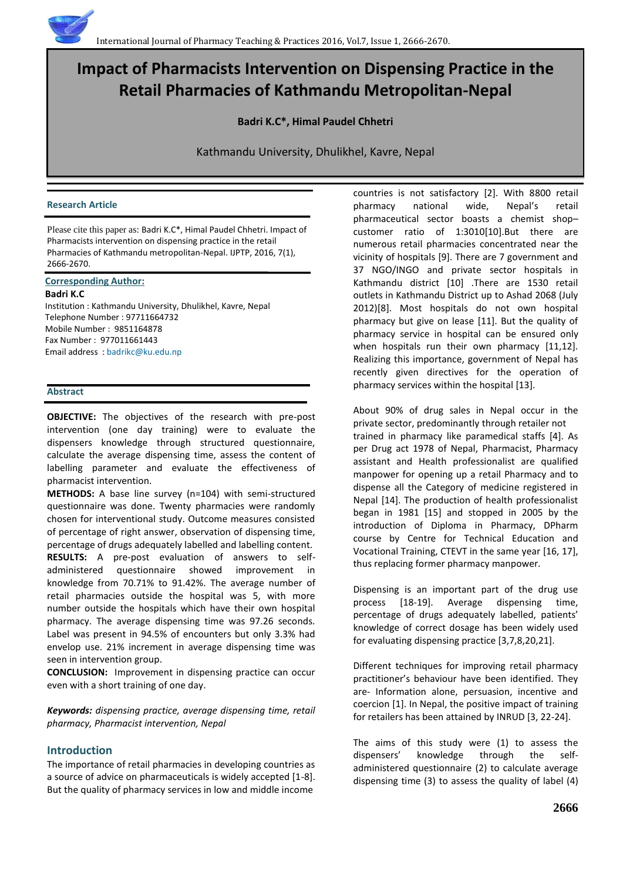# **Impact of Pharmacists Intervention on Dispensing Practice in the Retail Pharmacies of Kathmandu Metropolitan-Nepal**

**Badri K.C\*, Himal Paudel Chhetri**

Kathmandu University, Dhulikhel, Kavre, Nepal

## **Research Article**

Please cite this paper as: Badri K.C\*, Himal Paudel Chhetri. Impact of Pharmacists intervention on dispensing practice in the retail Pharmacies of Kathmandu metropolitan-Nepal. IJPTP, 2016, 7(1), 2666-2670.

# **Corresponding Author:**

# **Badri K.C**

Institution : Kathmandu University, Dhulikhel, Kavre, Nepal Telephone Number : 97711664732 Mobile Number : 9851164878 Fax Number : 977011661443 Email address [: badrikc@ku.edu.np](mailto:badrikc@ku.edu.np)

# **Abstract**

**OBJECTIVE:** The objectives of the research with pre-post intervention (one day training) were to evaluate the dispensers knowledge through structured questionnaire, calculate the average dispensing time, assess the content of labelling parameter and evaluate the effectiveness of pharmacist intervention.

**METHODS:** A base line survey (n=104) with semi-structured questionnaire was done. Twenty pharmacies were randomly chosen for interventional study. Outcome measures consisted of percentage of right answer, observation of dispensing time, percentage of drugs adequately labelled and labelling content. **RESULTS:** A pre-post evaluation of answers to selfadministered questionnaire showed improvement in knowledge from 70.71% to 91.42%. The average number of retail pharmacies outside the hospital was 5, with more number outside the hospitals which have their own hospital pharmacy. The average dispensing time was 97.26 seconds. Label was present in 94.5% of encounters but only 3.3% had envelop use. 21% increment in average dispensing time was seen in intervention group.

**CONCLUSION:** Improvement in dispensing practice can occur even with a short training of one day.

*Keywords: dispensing practice, average dispensing time, retail pharmacy, Pharmacist intervention, Nepal*

# **Introduction**

The importance of retail pharmacies in developing countries as a source of advice on pharmaceuticals is widely accepted [1-8]. But the quality of pharmacy services in low and middle income

countries is not satisfactory [2]. With 8800 retail pharmacy national wide, Nepal's retail pharmaceutical sector boasts a chemist shop– customer ratio of 1:3010[10].But there are numerous retail pharmacies concentrated near the vicinity of hospitals [9]. There are 7 government and 37 NGO/INGO and private sector hospitals in Kathmandu district [10] .There are 1530 retail outlets in Kathmandu District up to Ashad 2068 (July 2012)[8]. Most hospitals do not own hospital pharmacy but give on lease [11]. But the quality of pharmacy service in hospital can be ensured only when hospitals run their own pharmacy [11,12]. Realizing this importance, government of Nepal has recently given directives for the operation of pharmacy services within the hospital [13].

About 90% of drug sales in Nepal occur in the private sector, predominantly through retailer not trained in pharmacy like paramedical staffs [4]. As per Drug act 1978 of Nepal, Pharmacist, Pharmacy assistant and Health professionalist are qualified manpower for opening up a retail Pharmacy and to dispense all the Category of medicine registered in Nepal [14]. The production of health professionalist began in 1981 [15] and stopped in 2005 by the introduction of Diploma in Pharmacy, DPharm course by Centre for Technical Education and Vocational Training, CTEVT in the same year [16, 17], thus replacing former pharmacy manpower.

Dispensing is an important part of the drug use process [18-19]. Average dispensing time, percentage of drugs adequately labelled, patients' knowledge of correct dosage has been widely used for evaluating dispensing practice [3,7,8,20,21].

Different techniques for improving retail pharmacy practitioner's behaviour have been identified. They are- Information alone, persuasion, incentive and coercion [1]. In Nepal, the positive impact of training for retailers has been attained by INRUD [3, 22-24].

The aims of this study were (1) to assess the dispensers' knowledge through the selfadministered questionnaire (2) to calculate average dispensing time (3) to assess the quality of label (4)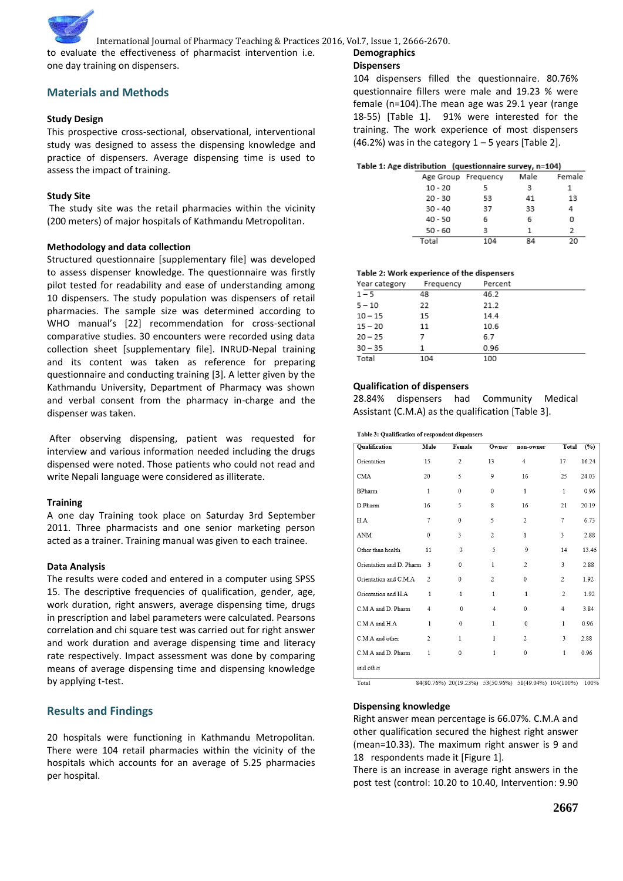

to evaluate the effectiveness of pharmacist intervention i.e. one day training on dispensers.

# **Materials and Methods**

# **Study Design**

This prospective cross-sectional, observational, interventional study was designed to assess the dispensing knowledge and practice of dispensers. Average dispensing time is used to assess the impact of training.

# **Study Site**

The study site was the retail pharmacies within the vicinity (200 meters) of major hospitals of Kathmandu Metropolitan.

# **Methodology and data collection**

Structured questionnaire [supplementary file] was developed to assess dispenser knowledge. The questionnaire was firstly pilot tested for readability and ease of understanding among 10 dispensers. The study population was dispensers of retail pharmacies. The sample size was determined according to WHO manual's [22] recommendation for cross-sectional comparative studies. 30 encounters were recorded using data collection sheet [supplementary file]. INRUD-Nepal training and its content was taken as reference for preparing questionnaire and conducting training [3]. A letter given by the Kathmandu University, Department of Pharmacy was shown and verbal consent from the pharmacy in-charge and the dispenser was taken.

After observing dispensing, patient was requested for interview and various information needed including the drugs dispensed were noted. Those patients who could not read and write Nepali language were considered as illiterate.

## **Training**

A one day Training took place on Saturday 3rd September 2011. Three pharmacists and one senior marketing person acted as a trainer. Training manual was given to each trainee.

# **Data Analysis**

The results were coded and entered in a computer using SPSS 15. The descriptive frequencies of qualification, gender, age, work duration, right answers, average dispensing time, drugs in prescription and label parameters were calculated. Pearsons correlation and chi square test was carried out for right answer and work duration and average dispensing time and literacy rate respectively. Impact assessment was done by comparing means of average dispensing time and dispensing knowledge by applying t-test.

# **Results and Findings**

20 hospitals were functioning in Kathmandu Metropolitan. There were 104 retail pharmacies within the vicinity of the hospitals which accounts for an average of 5.25 pharmacies per hospital.

# **Demographics**

# **Dispensers**

104 dispensers filled the questionnaire. 80.76% questionnaire fillers were male and 19.23 % were female (n=104).The mean age was 29.1 year (range 18-55) [Table 1]. 91% were interested for the training. The work experience of most dispensers (46.2%) was in the category  $1 - 5$  years [Table 2].

## Table 1: Age distribution (questionnaire survey, n=104)

|                     |     | . .  |        |
|---------------------|-----|------|--------|
| Age Group Frequency |     | Male | Female |
| $10 - 20$           |     | з    |        |
| $20 - 30$           | 53  | 41   | 13     |
| $30 - 40$           | 37  | 33   | 4      |
| $40 - 50$           | 6   | 6    | ο      |
| $50 - 60$           | з   |      | 2      |
| Total               | 104 | 84   | 20     |

# Table 2: Work experience of the dispensers

| Year category | Frequency | Percent |
|---------------|-----------|---------|
| $1 - 5$       | 48        | 46.2    |
| $5 - 10$      | 22        | 21.2    |
| $10 - 15$     | 15        | 14.4    |
| $15 - 20$     | 11        | 10.6    |
| $20 - 25$     | 7         | 6.7     |
| $30 - 35$     | 1         | 0.96    |
| Total         | 104       | 100     |

# **Qualification of dispensers**

28.84% dispensers had Community Medical Assistant (C.M.A) as the qualification [Table 3].

#### Table 3: Qualification of respondent dispensers

| Qualification            | Male                     | Female         | Owner          | non-owner                                             | Total          | (%)   |
|--------------------------|--------------------------|----------------|----------------|-------------------------------------------------------|----------------|-------|
| Orientation              | 15                       | $\overline{2}$ | 13             | $\overline{4}$                                        | 17             | 16.24 |
| <b>CMA</b>               | 20                       | 5              | 9              | 16                                                    | 25             | 24.03 |
| <b>BPharm</b>            | $\mathbf{1}$             | $\Omega$       | $\theta$       | $\mathbf{1}$                                          | $\mathbf{1}$   | 0.96  |
| D.Pharm                  | 16                       | 5              | 8              | 16                                                    | 21             | 20.19 |
| H.A                      | 7                        | $\Omega$       | 5              | $\overline{2}$                                        | 7              | 6.73  |
| $\Lambda\rm NM$          | $\theta$                 | 3              | $\overline{2}$ | $\mathbf{1}$                                          | 3              | 2.88  |
| Other than health        | 11                       | 3              | 5              | 9                                                     | 14             | 13.46 |
| Orientation and D. Pharm | $\overline{\mathcal{E}}$ | $\Omega$       | $\mathbf{1}$   | $\overline{2}$                                        | 3              | 2.88  |
| Orientation and C.M.A    | $\overline{c}$           | $\Omega$       | 2              | $\mathbf{0}$                                          | 2              | 1.92  |
| Orientation and H.A.     | 1                        | 1              | $\mathbf{1}$   | $\mathbf{1}$                                          | $\overline{c}$ | 1.92  |
| C.M.A and D. Pharm       | $\overline{4}$           | $\Omega$       | $\overline{4}$ | $\Omega$                                              | $\overline{4}$ | 3.84  |
| C.M.A and H.A            | 1                        | $\Omega$       | 1              | $\theta$                                              | $\mathbf{1}$   | 0.96  |
| C.M.A and other          | $\overline{c}$           | 1              | 1              | $\overline{c}$                                        | 3              | 2.88  |
| C.M.A and D. Pharm       | 1                        | $\Omega$       | 1              | $\Omega$                                              | $\mathbf{1}$   | 0.96  |
| and other                |                          |                |                |                                                       |                |       |
| Total                    |                          |                |                | 84(80.76%) 20(19.23%) 53(50.96%) 51(49.04%) 104(100%) |                | 100%  |

84(80.76%) 20(19.23%) 53(50.96%) 51(49.04%) 104(100%) 100%

# **Dispensing knowledge**

Right answer mean percentage is 66.07%. C.M.A and other qualification secured the highest right answer (mean=10.33). The maximum right answer is 9 and 18 respondents made it [Figure 1].

There is an increase in average right answers in the post test (control: 10.20 to 10.40, Intervention: 9.90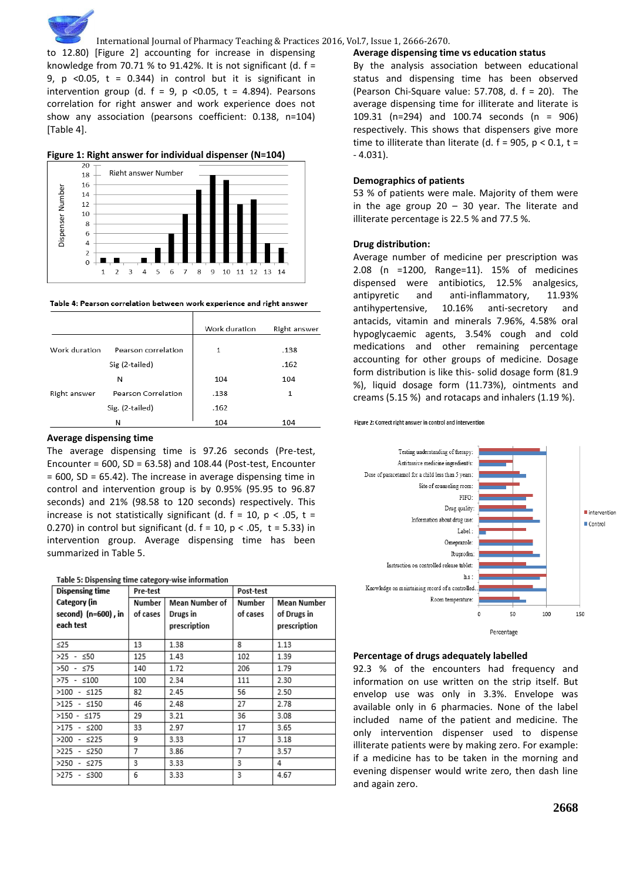

International Journal of Pharmacy Teaching & Practices 2016, Vol.7, Issue 1, 2666-2670.

to 12.80) [Figure 2] accounting for increase in dispensing knowledge from 70.71 % to 91.42%. It is not significant (d.  $f =$ 9,  $p \le 0.05$ ,  $t = 0.344$ ) in control but it is significant in intervention group (d.  $f = 9$ ,  $p \le 0.05$ ,  $t = 4.894$ ). Pearsons correlation for right answer and work experience does not show any association (pearsons coefficient: 0.138, n=104) [Table 4].





Table 4: Pearson correlation between work experience and right answer

|               |                     | Work duration | Right answer |
|---------------|---------------------|---------------|--------------|
| Work duration | Pearson correlation | 1             | .138         |
|               | Sig (2-tailed)      |               | .162         |
|               | N                   | 104           | 104          |
| Right answer  | Pearson Correlation | .138          | 1            |
|               | Sig. (2-tailed)     | .162          |              |
|               | N                   | 104           | 104          |

## **Average dispensing time**

The average dispensing time is 97.26 seconds (Pre-test, Encounter =  $600$ , SD =  $63.58$ ) and 108.44 (Post-test, Encounter = 600, SD = 65.42). The increase in average dispensing time in control and intervention group is by 0.95% (95.95 to 96.87 seconds) and 21% (98.58 to 120 seconds) respectively. This increase is not statistically significant (d.  $f = 10$ ,  $p < .05$ ,  $t =$ 0.270) in control but significant (d.  $f = 10$ ,  $p < .05$ ,  $t = 5.33$ ) in intervention group. Average dispensing time has been summarized in Table 5.

| Table 5: Dispensing time category-wise information |  |
|----------------------------------------------------|--|
|----------------------------------------------------|--|

| <b>Dispensing time</b> | Pre-test |                | Post-test |              |
|------------------------|----------|----------------|-----------|--------------|
| Category (in           | Number   | Mean Number of | Number    | Mean Number  |
| second) (n=600), in    | of cases | Drugs in       | of cases  | of Drugs in  |
| each test              |          | prescription   |           | prescription |
| ≤25                    | 13       | 1.38           | 8         | 1.13         |
| $>25 - 50$             | 125      | 1.43           | 102       | 1.39         |
| $>50 - 575$            | 140      | 1.72           | 206       | 1.79         |
| $>75 - 100$            | 100      | 2.34           | 111       | 2.30         |
| $>100 - $125$          | 82       | 2.45           | 56        | 2.50         |
| $>125 - $150$          | 46       | 2.48           | 27        | 2.78         |
| $>150 - 175$           | 29       | 3.21           | 36        | 3.08         |
| $>175 - $200$          | 33       | 2.97           | 17        | 3.65         |
| >200 - ≤225            | 9        | 3.33           | 17        | 3.18         |
| >225 - ≤250            | 7        | 3.86           | 7         | 3.57         |
| $>250 - 275$           | 3        | 3.33           | 3         | 4            |
| >275 - ≤300            | 6        | 3.33           | 3         | 4.67         |

## **Average dispensing time vs education status**

By the analysis association between educational status and dispensing time has been observed (Pearson Chi-Square value: 57.708, d. f = 20). The average dispensing time for illiterate and literate is 109.31 (n=294) and 100.74 seconds (n = 906) respectively. This shows that dispensers give more time to illiterate than literate (d.  $f = 905$ ,  $p < 0.1$ ,  $t =$ - 4.031).

## **Demographics of patients**

53 % of patients were male. Majority of them were in the age group  $20 - 30$  year. The literate and illiterate percentage is 22.5 % and 77.5 %.

## **Drug distribution:**

Average number of medicine per prescription was 2.08 (n =1200, Range=11). 15% of medicines dispensed were antibiotics, 12.5% analgesics, antipyretic and anti-inflammatory, 11.93% antihypertensive, 10.16% anti-secretory and antacids, vitamin and minerals 7.96%, 4.58% oral hypoglycaemic agents, 3.54% cough and cold medications and other remaining percentage accounting for other groups of medicine. Dosage form distribution is like this- solid dosage form (81.9 %), liquid dosage form (11.73%), ointments and creams (5.15 %) and rotacaps and inhalers (1.19 %).





## **Percentage of drugs adequately labelled**

92.3 % of the encounters had frequency and information on use written on the strip itself. But envelop use was only in 3.3%. Envelope was available only in 6 pharmacies. None of the label included name of the patient and medicine. The only intervention dispenser used to dispense illiterate patients were by making zero. For example: if a medicine has to be taken in the morning and evening dispenser would write zero, then dash line and again zero.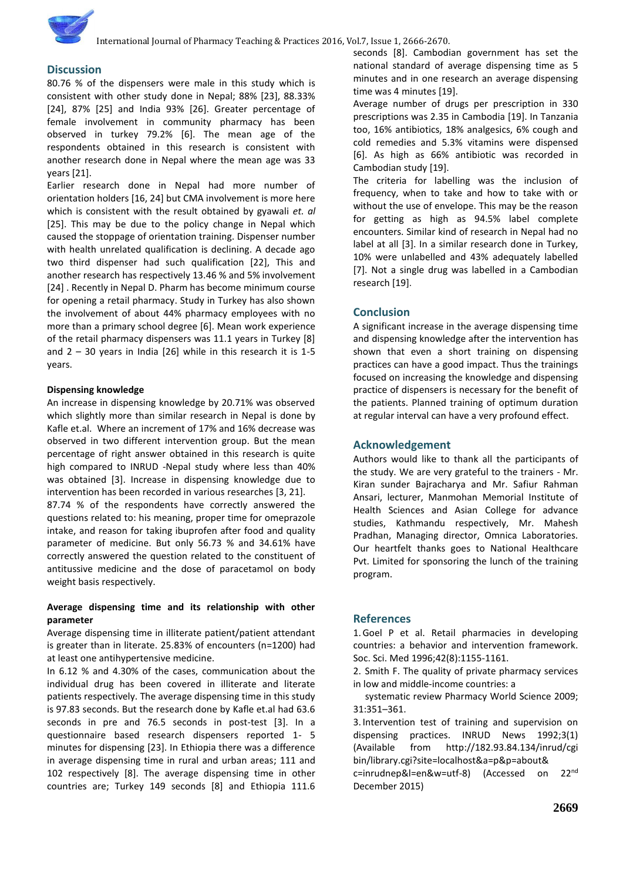# **Discussion**

80.76 % of the dispensers were male in this study which is consistent with other study done in Nepal; 88% [23], 88.33% [24], 87% [25] and India 93% [26]. Greater percentage of female involvement in community pharmacy has been observed in turkey 79.2% [6]. The mean age of the respondents obtained in this research is consistent with another research done in Nepal where the mean age was 33 years [21].

Earlier research done in Nepal had more number of orientation holders [16, 24] but CMA involvement is more here which is consistent with the result obtained by gyawali *et. al* [25]. This may be due to the policy change in Nepal which caused the stoppage of orientation training. Dispenser number with health unrelated qualification is declining. A decade ago two third dispenser had such qualification [22], This and another research has respectively 13.46 % and 5% involvement [24] . Recently in Nepal D. Pharm has become minimum course for opening a retail pharmacy. Study in Turkey has also shown the involvement of about 44% pharmacy employees with no more than a primary school degree [6]. Mean work experience of the retail pharmacy dispensers was 11.1 years in Turkey [8] and  $2 - 30$  years in India [26] while in this research it is 1-5 years.

### **Dispensing knowledge**

An increase in dispensing knowledge by 20.71% was observed which slightly more than similar research in Nepal is done by Kafle et.al. Where an increment of 17% and 16% decrease was observed in two different intervention group. But the mean percentage of right answer obtained in this research is quite high compared to INRUD -Nepal study where less than 40% was obtained [3]. Increase in dispensing knowledge due to intervention has been recorded in various researches [3, 21]. 87.74 % of the respondents have correctly answered the questions related to: his meaning, proper time for omeprazole intake, and reason for taking ibuprofen after food and quality parameter of medicine. But only 56.73 % and 34.61% have correctly answered the question related to the constituent of antitussive medicine and the dose of paracetamol on body weight basis respectively.

## **Average dispensing time and its relationship with other parameter**

Average dispensing time in illiterate patient/patient attendant is greater than in literate. 25.83% of encounters (n=1200) had at least one antihypertensive medicine.

In 6.12 % and 4.30% of the cases, communication about the individual drug has been covered in illiterate and literate patients respectively. The average dispensing time in this study is 97.83 seconds. But the research done by Kafle et.al had 63.6 seconds in pre and 76.5 seconds in post-test [3]. In a questionnaire based research dispensers reported 1- 5 minutes for dispensing [23]. In Ethiopia there was a difference in average dispensing time in rural and urban areas; 111 and 102 respectively [8]. The average dispensing time in other countries are; Turkey 149 seconds [8] and Ethiopia 111.6

seconds [8]. Cambodian government has set the national standard of average dispensing time as 5 minutes and in one research an average dispensing time was 4 minutes [19].

Average number of drugs per prescription in 330 prescriptions was 2.35 in Cambodia [19]. In Tanzania too, 16% antibiotics, 18% analgesics, 6% cough and cold remedies and 5.3% vitamins were dispensed [6]. As high as 66% antibiotic was recorded in Cambodian study [19].

The criteria for labelling was the inclusion of frequency, when to take and how to take with or without the use of envelope. This may be the reason for getting as high as 94.5% label complete encounters. Similar kind of research in Nepal had no label at all [3]. In a similar research done in Turkey, 10% were unlabelled and 43% adequately labelled [7]. Not a single drug was labelled in a Cambodian research [19].

# **Conclusion**

A significant increase in the average dispensing time and dispensing knowledge after the intervention has shown that even a short training on dispensing practices can have a good impact. Thus the trainings focused on increasing the knowledge and dispensing practice of dispensers is necessary for the benefit of the patients. Planned training of optimum duration at regular interval can have a very profound effect.

## **Acknowledgement**

Authors would like to thank all the participants of the study. We are very grateful to the trainers - Mr. Kiran sunder Bajracharya and Mr. Safiur Rahman Ansari, lecturer, Manmohan Memorial Institute of Health Sciences and Asian College for advance studies, Kathmandu respectively, Mr. Mahesh Pradhan, Managing director, Omnica Laboratories. Our heartfelt thanks goes to National Healthcare Pvt. Limited for sponsoring the lunch of the training program.

## **References**

1.Goel P et al. Retail pharmacies in developing countries: a behavior and intervention framework. Soc. Sci. Med 1996;42(8):1155-1161.

2. Smith F. The quality of private pharmacy services in low and middle-income countries: a

 systematic review Pharmacy World Science 2009; 31:351–361.

3. Intervention test of training and supervision on dispensing practices. INRUD News 1992;3(1) (Available from http://182.93.84.134/inrud/cgi bin/library.cgi?site=localhost&a=p&p=about&

c=inrudnep&l=en&w=utf-8) (Accessed on 22nd December 2015)